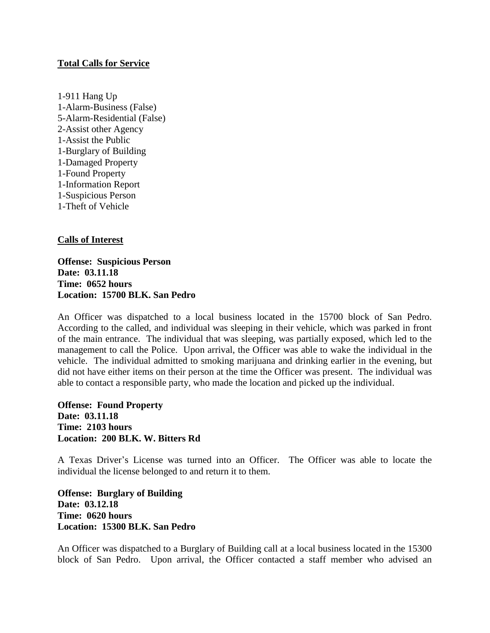## **Total Calls for Service**

1-911 Hang Up 1-Alarm-Business (False) 5-Alarm-Residential (False) 2-Assist other Agency 1-Assist the Public 1-Burglary of Building 1-Damaged Property 1-Found Property 1-Information Report 1-Suspicious Person 1-Theft of Vehicle

## **Calls of Interest**

**Offense: Suspicious Person Date: 03.11.18 Time: 0652 hours Location: 15700 BLK. San Pedro**

An Officer was dispatched to a local business located in the 15700 block of San Pedro. According to the called, and individual was sleeping in their vehicle, which was parked in front of the main entrance. The individual that was sleeping, was partially exposed, which led to the management to call the Police. Upon arrival, the Officer was able to wake the individual in the vehicle. The individual admitted to smoking marijuana and drinking earlier in the evening, but did not have either items on their person at the time the Officer was present. The individual was able to contact a responsible party, who made the location and picked up the individual.

**Offense: Found Property Date: 03.11.18 Time: 2103 hours Location: 200 BLK. W. Bitters Rd**

A Texas Driver's License was turned into an Officer. The Officer was able to locate the individual the license belonged to and return it to them.

**Offense: Burglary of Building Date: 03.12.18 Time: 0620 hours Location: 15300 BLK. San Pedro**

An Officer was dispatched to a Burglary of Building call at a local business located in the 15300 block of San Pedro. Upon arrival, the Officer contacted a staff member who advised an